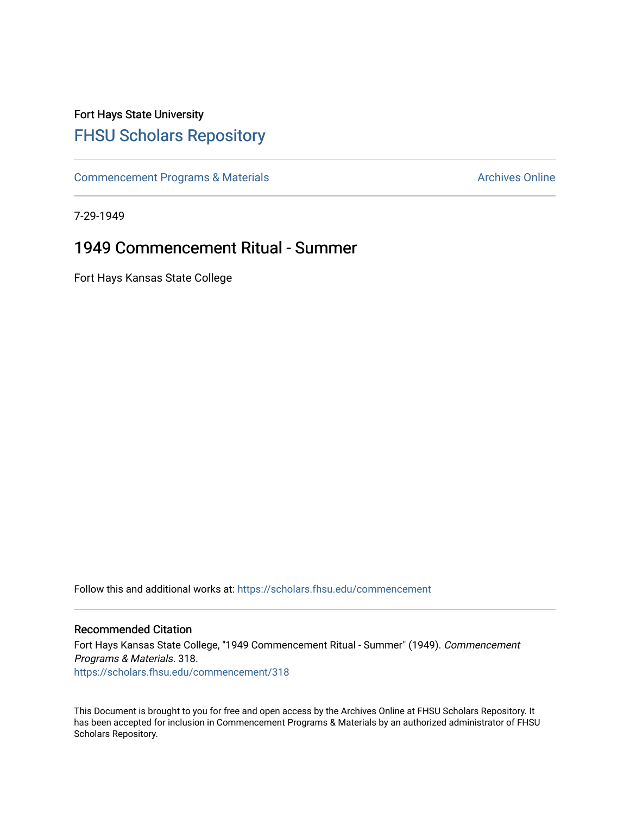## Fort Hays State University [FHSU Scholars Repository](https://scholars.fhsu.edu/)

[Commencement Programs & Materials](https://scholars.fhsu.edu/commencement) **Archives Online** Archives Online

7-29-1949

## 1949 Commencement Ritual - Summer

Fort Hays Kansas State College

Follow this and additional works at: [https://scholars.fhsu.edu/commencement](https://scholars.fhsu.edu/commencement?utm_source=scholars.fhsu.edu%2Fcommencement%2F318&utm_medium=PDF&utm_campaign=PDFCoverPages)

## Recommended Citation

Fort Hays Kansas State College, "1949 Commencement Ritual - Summer" (1949). Commencement Programs & Materials. 318. [https://scholars.fhsu.edu/commencement/318](https://scholars.fhsu.edu/commencement/318?utm_source=scholars.fhsu.edu%2Fcommencement%2F318&utm_medium=PDF&utm_campaign=PDFCoverPages)

This Document is brought to you for free and open access by the Archives Online at FHSU Scholars Repository. It has been accepted for inclusion in Commencement Programs & Materials by an authorized administrator of FHSU Scholars Repository.